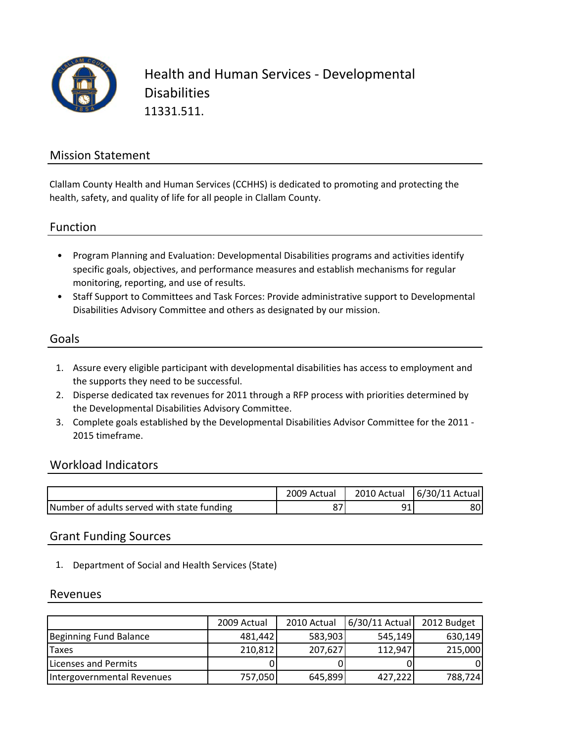

### Mission Statement

Clallam County Health and Human Services (CCHHS) is dedicated to promoting and protecting the health, safety, and quality of life for all people in Clallam County.

Function

- Program Planning and Evaluation: Developmental Disabilities programs and activities identify specific goals, objectives, and performance measures and establish mechanisms for regular monitoring, reporting, and use of results.
- Staff Support to Committees and Task Forces: Provide administrative support to Developmental Disabilities Advisory Committee and others as designated by our mission.

#### Goals

- 1. Assure every eligible participant with developmental disabilities has access to employment and the supports they need to be successful.
- 2. Disperse dedicated tax revenues for 2011 through a RFP process with priorities determined by the Developmental Disabilities Advisory Committee.
- 3. Complete goals established by the Developmental Disabilities Advisor Committee for the 2011 ‐ 2015 timeframe.

#### Workload Indicators

|                                            | 2009 Actual | 2010 Actual | $6/30/11$ Actual |
|--------------------------------------------|-------------|-------------|------------------|
| Number of adults served with state funding |             |             | 80'              |

#### Grant Funding Sources

1. Department of Social and Health Services (State)

#### Revenues

|                            | 2009 Actual | 2010 Actual | 6/30/11 Actual | 2012 Budget |
|----------------------------|-------------|-------------|----------------|-------------|
| Beginning Fund Balance     | 481,442     | 583,903     | 545,149        | 630,149     |
| <b>Taxes</b>               | 210,812     | 207,627     | 112,947        | 215,000     |
| Licenses and Permits       |             |             |                | 01          |
| Intergovernmental Revenues | 757,050     | 645,899     | 427,222        | 788,724     |